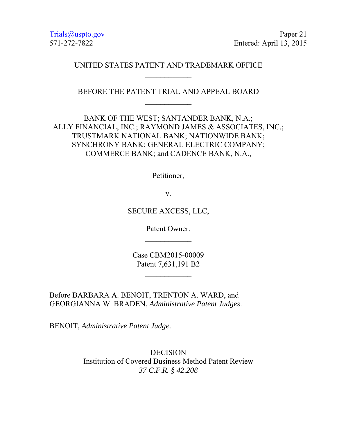Trials@uspto.gov Paper 21 571-272-7822 Entered: April 13, 2015

### UNITED STATES PATENT AND TRADEMARK OFFICE

BEFORE THE PATENT TRIAL AND APPEAL BOARD  $\frac{1}{2}$ 

BANK OF THE WEST; SANTANDER BANK, N.A.; ALLY FINANCIAL, INC.; RAYMOND JAMES & ASSOCIATES, INC.; TRUSTMARK NATIONAL BANK; NATIONWIDE BANK; SYNCHRONY BANK; GENERAL ELECTRIC COMPANY; COMMERCE BANK; and CADENCE BANK, N.A.,

Petitioner,

v.

SECURE AXCESS, LLC,

Patent Owner.  $\frac{1}{2}$ 

Case CBM2015-00009 Patent 7,631,191 B2

Before BARBARA A. BENOIT, TRENTON A. WARD, and GEORGIANNA W. BRADEN, *Administrative Patent Judges*.

BENOIT, *Administrative Patent Judge*.

DECISION Institution of Covered Business Method Patent Review *37 C.F.R. § 42.208*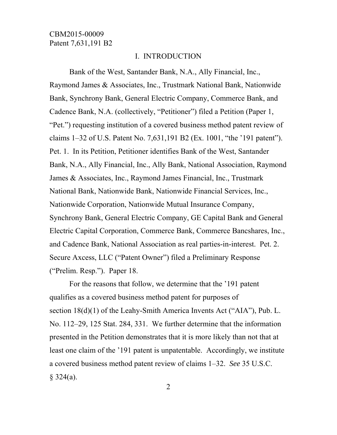#### I. INTRODUCTION

Bank of the West, Santander Bank, N.A., Ally Financial, Inc., Raymond James & Associates, Inc., Trustmark National Bank, Nationwide Bank, Synchrony Bank, General Electric Company, Commerce Bank, and Cadence Bank, N.A. (collectively, "Petitioner") filed a Petition (Paper 1, "Pet.") requesting institution of a covered business method patent review of claims 1–32 of U.S. Patent No. 7,631,191 B2 (Ex. 1001, "the '191 patent"). Pet. 1. In its Petition, Petitioner identifies Bank of the West, Santander Bank, N.A., Ally Financial, Inc., Ally Bank, National Association, Raymond James & Associates, Inc., Raymond James Financial, Inc., Trustmark National Bank, Nationwide Bank, Nationwide Financial Services, Inc., Nationwide Corporation, Nationwide Mutual Insurance Company, Synchrony Bank, General Electric Company, GE Capital Bank and General Electric Capital Corporation, Commerce Bank, Commerce Bancshares, Inc., and Cadence Bank, National Association as real parties-in-interest. Pet. 2. Secure Axcess, LLC ("Patent Owner") filed a Preliminary Response ("Prelim. Resp."). Paper 18.

For the reasons that follow, we determine that the '191 patent qualifies as a covered business method patent for purposes of section 18(d)(1) of the Leahy-Smith America Invents Act ("AIA"), Pub. L. No. 112–29, 125 Stat. 284, 331. We further determine that the information presented in the Petition demonstrates that it is more likely than not that at least one claim of the '191 patent is unpatentable. Accordingly, we institute a covered business method patent review of claims 1–32. *See* 35 U.S.C.  $§$  324(a).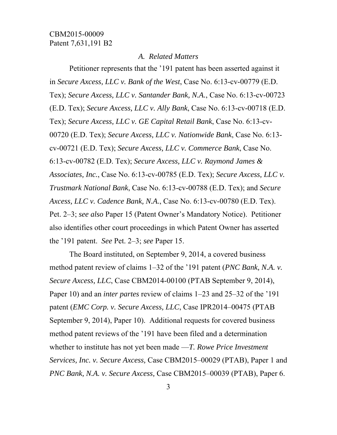#### *A. Related Matters*

Petitioner represents that the '191 patent has been asserted against it in *Secure Axcess, LLC v. Bank of the West*, Case No. 6:13-cv-00779 (E.D. Tex); *Secure Axcess, LLC v. Santander Bank, N.A.*, Case No. 6:13-cv-00723 (E.D. Tex); *Secure Axcess, LLC v. Ally Bank*, Case No. 6:13-cv-00718 (E.D. Tex); *Secure Axcess, LLC v. GE Capital Retail Bank*, Case No. 6:13-cv-00720 (E.D. Tex); *Secure Axcess, LLC v. Nationwide Bank*, Case No. 6:13 cv-00721 (E.D. Tex); *Secure Axcess, LLC v. Commerce Bank*, Case No. 6:13-cv-00782 (E.D. Tex); *Secure Axcess, LLC v. Raymond James & Associates, Inc.*, Case No. 6:13-cv-00785 (E.D. Tex); *Secure Axcess, LLC v. Trustmark National Bank*, Case No. 6:13-cv-00788 (E.D. Tex); and *Secure Axcess, LLC v. Cadence Bank, N.A.*, Case No. 6:13-cv-00780 (E.D. Tex). Pet. 2–3; *see also* Paper 15 (Patent Owner's Mandatory Notice). Petitioner also identifies other court proceedings in which Patent Owner has asserted the '191 patent. *See* Pet. 2–3; *see* Paper 15.

The Board instituted, on September 9, 2014, a covered business method patent review of claims 1–32 of the '191 patent (*PNC Bank, N.A. v. Secure Axcess, LLC*, Case CBM2014-00100 (PTAB September 9, 2014), Paper 10) and an *inter partes* review of claims 1–23 and 25–32 of the '191 patent (*EMC Corp. v. Secure Axcess, LLC*, Case IPR2014–00475 (PTAB September 9, 2014), Paper 10). Additional requests for covered business method patent reviews of the '191 have been filed and a determination whether to institute has not yet been made —*T. Rowe Price Investment Services, Inc. v. Secure Axcess,* Case CBM2015–00029 (PTAB), Paper 1 and *PNC Bank, N.A. v. Secure Axcess,* Case CBM2015–00039 (PTAB), Paper 6.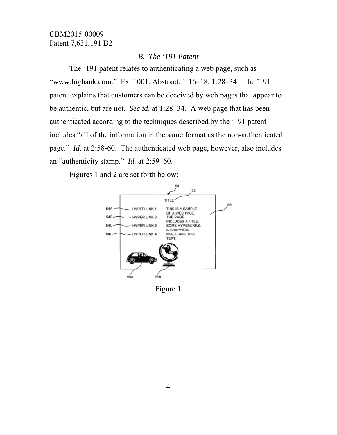#### B. The '191 Patent

The '191 patent relates to authenticating a web page, such as "www.bigbank.com." Ex. 1001, Abstract, 1:16–18, 1:28–34. The '191 patent explains that customers can be deceived by web pages that appear to be authentic, but are not. See id. at 1:28–34. A web page that has been authenticated according to the techniques described by the '191 patent' includes "all of the information in the same format as the non-authenticated page." *Id.* at 2:58-60. The authenticated web page, however, also includes an "authenticity stamp." Id. at  $2:59-60$ .

Figures 1 and 2 are set forth below:



Figure 1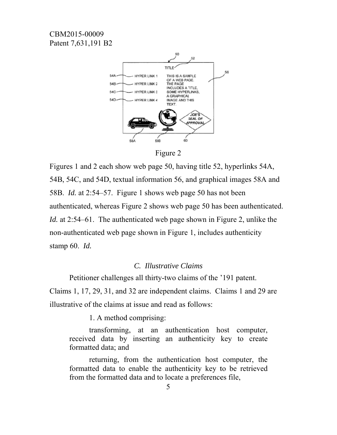

Figure 2

Figures 1 and 2 each show web page 50, having title 52, hyperlinks 54A, 54B, 54C, and 54D, textual information 56, and graphical images 58A and 58B. *Id.* at 2:54–57. Figure 1 shows web page 50 has not been authenticated, whereas Figure 2 shows web page 50 has been authenticated. *Id.* at 2:54–61. The authenticated web page shown in Figure 2, unlike the non-authenticated web page shown in Figure 1, includes authenticity stamp  $60$ . *Id.* 

#### C. Illustrative Claims

Petitioner challenges all thirty-two claims of the '191 patent. Claims 1, 17, 29, 31, and 32 are independent claims. Claims 1 and 29 are illustrative of the claims at issue and read as follows:

1. A method comprising:

transforming, at an authentication host computer, received data by inserting an authenticity key to create formatted data; and

returning, from the authentication host computer, the formatted data to enable the authenticity key to be retrieved from the formatted data and to locate a preferences file,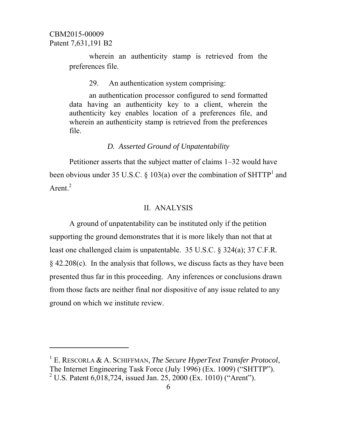$\overline{a}$ 

wherein an authenticity stamp is retrieved from the preferences file.

29. An authentication system comprising:

an authentication processor configured to send formatted data having an authenticity key to a client, wherein the authenticity key enables location of a preferences file, and wherein an authenticity stamp is retrieved from the preferences file.

#### *D. Asserted Ground of Unpatentability*

Petitioner asserts that the subject matter of claims 1–32 would have been obvious under 35 U.S.C. § 103(a) over the combination of SHTTP<sup>1</sup> and Arent. $^{2}$ 

#### II. ANALYSIS

A ground of unpatentability can be instituted only if the petition supporting the ground demonstrates that it is more likely than not that at least one challenged claim is unpatentable. 35 U.S.C. § 324(a); 37 C.F.R. § 42.208(c). In the analysis that follows, we discuss facts as they have been presented thus far in this proceeding. Any inferences or conclusions drawn from those facts are neither final nor dispositive of any issue related to any ground on which we institute review.

<sup>1</sup> E. RESCORLA & A. SCHIFFMAN, *The Secure HyperText Transfer Protocol*, The Internet Engineering Task Force (July 1996) (Ex. 1009) ("SHTTP"). <sup>2</sup> U.S. Patent 6,018,724, issued Jan. 25, 2000 (Ex. 1010) ("Arent").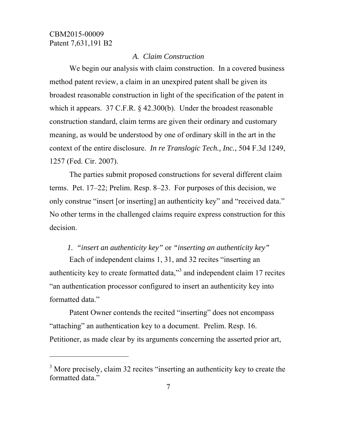-

### *A. Claim Construction*

We begin our analysis with claim construction. In a covered business method patent review, a claim in an unexpired patent shall be given its broadest reasonable construction in light of the specification of the patent in which it appears. 37 C.F.R. § 42.300(b). Under the broadest reasonable construction standard, claim terms are given their ordinary and customary meaning, as would be understood by one of ordinary skill in the art in the context of the entire disclosure. *In re Translogic Tech., Inc.*, 504 F.3d 1249, 1257 (Fed. Cir. 2007).

The parties submit proposed constructions for several different claim terms. Pet. 17–22; Prelim. Resp. 8–23. For purposes of this decision, we only construe "insert [or inserting] an authenticity key" and "received data." No other terms in the challenged claims require express construction for this decision.

# *1. "insert an authenticity key"* or *"inserting an authenticity key"*

Each of independent claims 1, 31, and 32 recites "inserting an authenticity key to create formatted data," $3$  and independent claim 17 recites "an authentication processor configured to insert an authenticity key into formatted data."

Patent Owner contends the recited "inserting" does not encompass "attaching" an authentication key to a document. Prelim. Resp. 16. Petitioner, as made clear by its arguments concerning the asserted prior art,

<sup>&</sup>lt;sup>3</sup> More precisely, claim 32 recites "inserting an authenticity key to create the formatted data."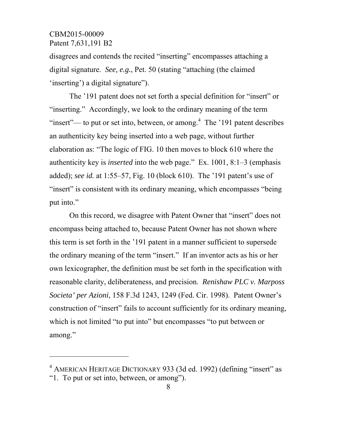$\overline{a}$ 

disagrees and contends the recited "inserting" encompasses attaching a digital signature. *See, e.g.*, Pet. 50 (stating "attaching (the claimed 'inserting') a digital signature").

The '191 patent does not set forth a special definition for "insert" or "inserting." Accordingly, we look to the ordinary meaning of the term "insert"— to put or set into, between, or among. $4$  The '191 patent describes an authenticity key being inserted into a web page, without further elaboration as: "The logic of FIG. 10 then moves to block 610 where the authenticity key is *inserted* into the web page." Ex. 1001, 8:1–3 (emphasis added); *see id.* at 1:55–57, Fig. 10 (block 610). The '191 patent's use of "insert" is consistent with its ordinary meaning, which encompasses "being" put into."

On this record, we disagree with Patent Owner that "insert" does not encompass being attached to, because Patent Owner has not shown where this term is set forth in the '191 patent in a manner sufficient to supersede the ordinary meaning of the term "insert." If an inventor acts as his or her own lexicographer, the definition must be set forth in the specification with reasonable clarity, deliberateness, and precision. *Renishaw PLC v. Marposs Societa' per Azioni*, 158 F.3d 1243, 1249 (Fed. Cir. 1998). Patent Owner's construction of "insert" fails to account sufficiently for its ordinary meaning, which is not limited "to put into" but encompasses "to put between or among."

<sup>&</sup>lt;sup>4</sup> AMERICAN HERITAGE DICTIONARY 933 (3d ed. 1992) (defining "insert" as "1. To put or set into, between, or among").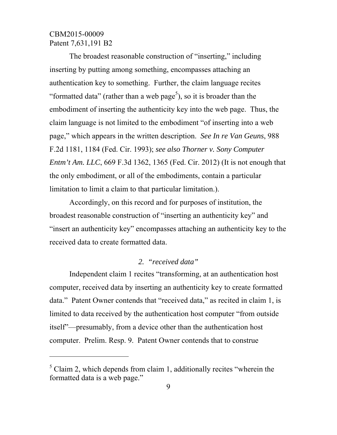$\overline{a}$ 

The broadest reasonable construction of "inserting," including inserting by putting among something, encompasses attaching an authentication key to something. Further, the claim language recites "formatted data" (rather than a web page<sup>5</sup>), so it is broader than the embodiment of inserting the authenticity key into the web page. Thus, the claim language is not limited to the embodiment "of inserting into a web page," which appears in the written description. *See In re Van Geuns*, 988 F.2d 1181, 1184 (Fed. Cir. 1993); *see also Thorner v. Sony Computer Entm't Am. LLC*, 669 F.3d 1362, 1365 (Fed. Cir. 2012) (It is not enough that the only embodiment, or all of the embodiments, contain a particular limitation to limit a claim to that particular limitation.).

Accordingly, on this record and for purposes of institution, the broadest reasonable construction of "inserting an authenticity key" and "insert an authenticity key" encompasses attaching an authenticity key to the received data to create formatted data.

### *2. "received data"*

Independent claim 1 recites "transforming, at an authentication host computer, received data by inserting an authenticity key to create formatted data." Patent Owner contends that "received data," as recited in claim 1, is limited to data received by the authentication host computer "from outside itself"—presumably, from a device other than the authentication host computer. Prelim. Resp. 9. Patent Owner contends that to construe

 $<sup>5</sup>$  Claim 2, which depends from claim 1, additionally recites "wherein the</sup> formatted data is a web page."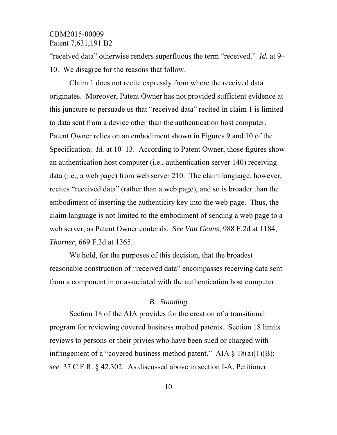"received data" otherwise renders superfluous the term "received." *Id.* at 9– 10. We disagree for the reasons that follow.

Claim 1 does not recite expressly from where the received data originates. Moreover, Patent Owner has not provided sufficient evidence at this juncture to persuade us that "received data" recited in claim 1 is limited to data sent from a device other than the authentication host computer. Patent Owner relies on an embodiment shown in Figures 9 and 10 of the Specification. *Id.* at 10–13. According to Patent Owner, those figures show an authentication host computer (i.e., authentication server 140) receiving data (i.e., a web page) from web server 210. The claim language, however, recites "received data" (rather than a web page), and so is broader than the embodiment of inserting the authenticity key into the web page. Thus, the claim language is not limited to the embodiment of sending a web page to a web server, as Patent Owner contends. *See Van Geuns*, 988 F.2d at 1184; *Thorner*, 669 F.3d at 1365.

We hold, for the purposes of this decision, that the broadest reasonable construction of "received data" encompasses receiving data sent from a component in or associated with the authentication host computer.

#### *B. Standing*

Section 18 of the AIA provides for the creation of a transitional program for reviewing covered business method patents. Section 18 limits reviews to persons or their privies who have been sued or charged with infringement of a "covered business method patent." AIA  $\S$  18(a)(1)(B); *see* 37 C.F.R. § 42.302. As discussed above in section I-A, Petitioner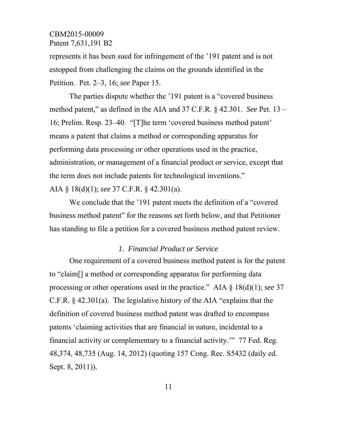represents it has been sued for infringement of the '191 patent and is not estopped from challenging the claims on the grounds identified in the Petition. Pet. 2–3, 16; *see* Paper 15.

The parties dispute whether the '191 patent is a "covered business method patent," as defined in the AIA and 37 C.F.R. § 42.301. *See* Pet. 13 – 16; Prelim. Resp. 23–40. "[T]he term 'covered business method patent' means a patent that claims a method or corresponding apparatus for performing data processing or other operations used in the practice, administration, or management of a financial product or service, except that the term does not include patents for technological inventions." AIA § 18(d)(1); *see* 37 C.F.R. § 42.301(a).

We conclude that the '191 patent meets the definition of a "covered business method patent" for the reasons set forth below, and that Petitioner has standing to file a petition for a covered business method patent review.

### *1. Financial Product or Service*

One requirement of a covered business method patent is for the patent to "claim[] a method or corresponding apparatus for performing data processing or other operations used in the practice." AIA § 18(d)(1); *see* 37 C.F.R. § 42.301(a). The legislative history of the AIA "explains that the definition of covered business method patent was drafted to encompass patents 'claiming activities that are financial in nature, incidental to a financial activity or complementary to a financial activity.'" 77 Fed. Reg. 48,374, 48,735 (Aug. 14, 2012) (quoting 157 Cong. Rec. S5432 (daily ed. Sept. 8, 2011)).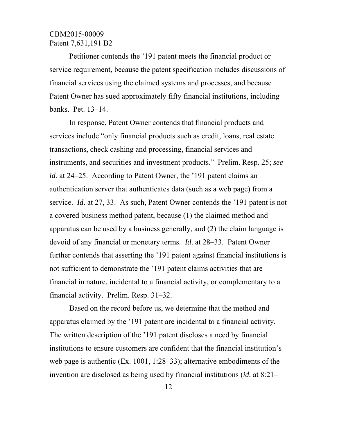Petitioner contends the '191 patent meets the financial product or service requirement, because the patent specification includes discussions of financial services using the claimed systems and processes, and because Patent Owner has sued approximately fifty financial institutions, including banks. Pet. 13–14.

In response, Patent Owner contends that financial products and services include "only financial products such as credit, loans, real estate transactions, check cashing and processing, financial services and instruments, and securities and investment products." Prelim. Resp. 25; *see id.* at 24–25. According to Patent Owner, the '191 patent claims an authentication server that authenticates data (such as a web page) from a service. *Id*. at 27, 33. As such, Patent Owner contends the '191 patent is not a covered business method patent, because (1) the claimed method and apparatus can be used by a business generally, and (2) the claim language is devoid of any financial or monetary terms. *Id*. at 28–33. Patent Owner further contends that asserting the '191 patent against financial institutions is not sufficient to demonstrate the '191 patent claims activities that are financial in nature, incidental to a financial activity, or complementary to a financial activity. Prelim. Resp. 31–32.

Based on the record before us, we determine that the method and apparatus claimed by the '191 patent are incidental to a financial activity. The written description of the '191 patent discloses a need by financial institutions to ensure customers are confident that the financial institution's web page is authentic (Ex. 1001, 1:28–33); alternative embodiments of the invention are disclosed as being used by financial institutions (*id.* at 8:21–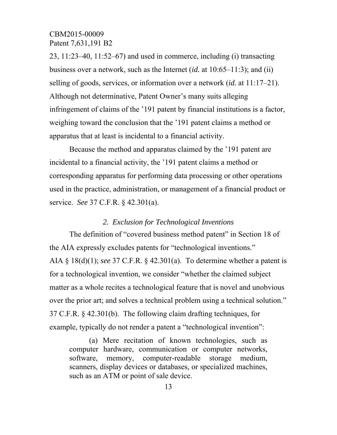23, 11:23–40, 11:52–67) and used in commerce, including (i) transacting business over a network, such as the Internet (*id.* at 10:65–11:3); and (ii) selling of goods, services, or information over a network (*id.* at 11:17–21). Although not determinative, Patent Owner's many suits alleging infringement of claims of the '191 patent by financial institutions is a factor, weighing toward the conclusion that the '191 patent claims a method or apparatus that at least is incidental to a financial activity.

Because the method and apparatus claimed by the '191 patent are incidental to a financial activity, the '191 patent claims a method or corresponding apparatus for performing data processing or other operations used in the practice, administration, or management of a financial product or service. *See* 37 C.F.R. § 42.301(a).

#### *2. Exclusion for Technological Inventions*

The definition of "covered business method patent" in Section 18 of the AIA expressly excludes patents for "technological inventions." AIA § 18(d)(1); *see* 37 C.F.R. § 42.301(a). To determine whether a patent is for a technological invention, we consider "whether the claimed subject matter as a whole recites a technological feature that is novel and unobvious over the prior art; and solves a technical problem using a technical solution." 37 C.F.R. § 42.301(b). The following claim drafting techniques, for example, typically do not render a patent a "technological invention":

(a) Mere recitation of known technologies, such as computer hardware, communication or computer networks, software, memory, computer-readable storage medium, scanners, display devices or databases, or specialized machines, such as an ATM or point of sale device.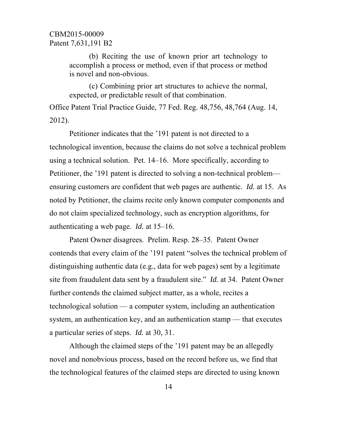(b) Reciting the use of known prior art technology to accomplish a process or method, even if that process or method is novel and non-obvious.

(c) Combining prior art structures to achieve the normal, expected, or predictable result of that combination.

Office Patent Trial Practice Guide, 77 Fed. Reg. 48,756, 48,764 (Aug. 14, 2012).

Petitioner indicates that the '191 patent is not directed to a technological invention, because the claims do not solve a technical problem using a technical solution. Pet. 14–16. More specifically, according to Petitioner, the '191 patent is directed to solving a non-technical problem ensuring customers are confident that web pages are authentic. *Id.* at 15. As noted by Petitioner, the claims recite only known computer components and do not claim specialized technology, such as encryption algorithms, for authenticating a web page. *Id.* at 15–16.

Patent Owner disagrees. Prelim. Resp. 28–35. Patent Owner contends that every claim of the '191 patent "solves the technical problem of distinguishing authentic data (e.g., data for web pages) sent by a legitimate site from fraudulent data sent by a fraudulent site." *Id.* at 34. Patent Owner further contends the claimed subject matter, as a whole, recites a technological solution — a computer system, including an authentication system, an authentication key, and an authentication stamp — that executes a particular series of steps. *Id.* at 30, 31.

Although the claimed steps of the '191 patent may be an allegedly novel and nonobvious process, based on the record before us, we find that the technological features of the claimed steps are directed to using known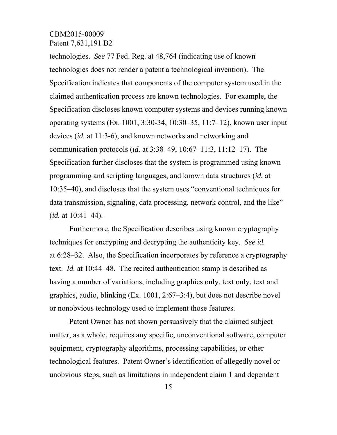technologies. *See* 77 Fed. Reg. at 48,764 (indicating use of known technologies does not render a patent a technological invention). The Specification indicates that components of the computer system used in the claimed authentication process are known technologies. For example, the Specification discloses known computer systems and devices running known operating systems (Ex. 1001, 3:30-34, 10:30–35, 11:7–12), known user input devices (*id.* at 11:3-6), and known networks and networking and communication protocols (*id.* at 3:38–49, 10:67–11:3, 11:12–17). The Specification further discloses that the system is programmed using known programming and scripting languages, and known data structures (*id.* at 10:35–40), and discloses that the system uses "conventional techniques for data transmission, signaling, data processing, network control, and the like" (*id.* at 10:41–44).

Furthermore, the Specification describes using known cryptography techniques for encrypting and decrypting the authenticity key. *See id.* at 6:28–32. Also, the Specification incorporates by reference a cryptography text. *Id.* at 10:44–48. The recited authentication stamp is described as having a number of variations, including graphics only, text only, text and graphics, audio, blinking (Ex. 1001, 2:67–3:4), but does not describe novel or nonobvious technology used to implement those features.

Patent Owner has not shown persuasively that the claimed subject matter, as a whole, requires any specific, unconventional software, computer equipment, cryptography algorithms, processing capabilities, or other technological features. Patent Owner's identification of allegedly novel or unobvious steps, such as limitations in independent claim 1 and dependent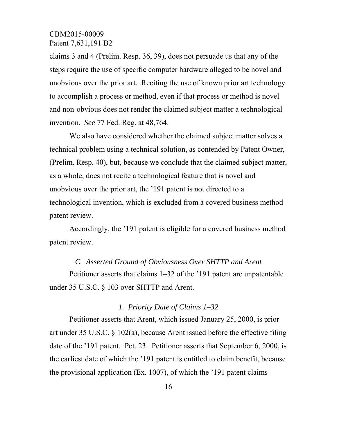claims 3 and 4 (Prelim. Resp. 36, 39), does not persuade us that any of the steps require the use of specific computer hardware alleged to be novel and unobvious over the prior art. Reciting the use of known prior art technology to accomplish a process or method, even if that process or method is novel and non-obvious does not render the claimed subject matter a technological invention. *See* 77 Fed. Reg. at 48,764.

We also have considered whether the claimed subject matter solves a technical problem using a technical solution, as contended by Patent Owner, (Prelim. Resp. 40), but, because we conclude that the claimed subject matter, as a whole, does not recite a technological feature that is novel and unobvious over the prior art, the '191 patent is not directed to a technological invention, which is excluded from a covered business method patent review.

Accordingly, the '191 patent is eligible for a covered business method patent review.

#### *C. Asserted Ground of Obviousness Over SHTTP and Arent*

Petitioner asserts that claims 1–32 of the '191 patent are unpatentable under 35 U.S.C. § 103 over SHTTP and Arent.

### *1. Priority Date of Claims 1*–*32*

Petitioner asserts that Arent, which issued January 25, 2000, is prior art under 35 U.S.C. § 102(a), because Arent issued before the effective filing date of the '191 patent. Pet. 23. Petitioner asserts that September 6, 2000, is the earliest date of which the '191 patent is entitled to claim benefit, because the provisional application (Ex. 1007), of which the '191 patent claims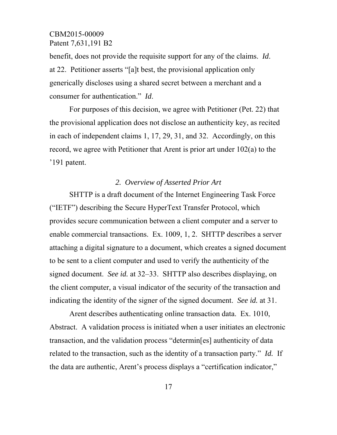benefit, does not provide the requisite support for any of the claims. *Id*. at 22. Petitioner asserts "[a]t best, the provisional application only generically discloses using a shared secret between a merchant and a consumer for authentication." *Id*.

For purposes of this decision, we agree with Petitioner (Pet. 22) that the provisional application does not disclose an authenticity key, as recited in each of independent claims 1, 17, 29, 31, and 32. Accordingly, on this record, we agree with Petitioner that Arent is prior art under 102(a) to the '191 patent.

### *2. Overview of Asserted Prior Art*

SHTTP is a draft document of the Internet Engineering Task Force ("IETF") describing the Secure HyperText Transfer Protocol, which provides secure communication between a client computer and a server to enable commercial transactions. Ex. 1009, 1, 2. SHTTP describes a server attaching a digital signature to a document, which creates a signed document to be sent to a client computer and used to verify the authenticity of the signed document. *See id.* at 32–33. SHTTP also describes displaying, on the client computer, a visual indicator of the security of the transaction and indicating the identity of the signer of the signed document. *See id.* at 31.

Arent describes authenticating online transaction data. Ex. 1010, Abstract. A validation process is initiated when a user initiates an electronic transaction, and the validation process "determin[es] authenticity of data related to the transaction, such as the identity of a transaction party." *Id.* If the data are authentic, Arent's process displays a "certification indicator,"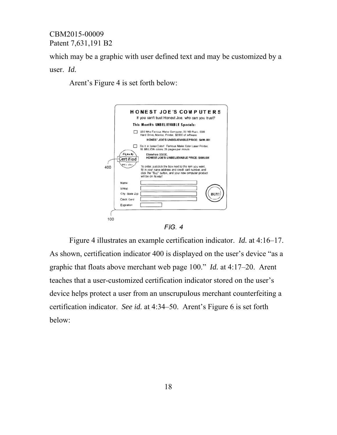which may be a graphic with user defined text and may be customized by a

### user. Id.

Arent's Figure 4 is set forth below:





Figure 4 illustrates an example certification indicator. *Id.* at 4:16–17. As shown, certification indicator 400 is displayed on the user's device "as a graphic that floats above merchant web page 100." *Id.* at  $4:17-20$ . Arent teaches that a user-customized certification indicator stored on the user's device helps protect a user from an unscrupulous merchant counterfeiting a certification indicator. See id. at 4:34–50. Arent's Figure 6 is set forth below: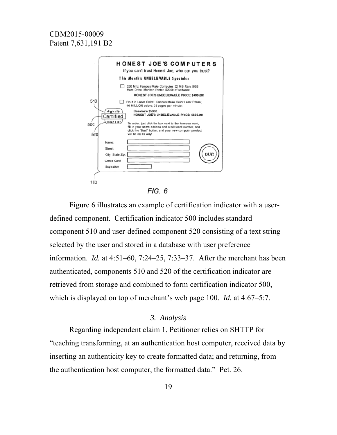

 $FIG. 6$ 

Figure 6 illustrates an example of certification indicator with a userdefined component. Certification indicator 500 includes standard component 510 and user-defined component 520 consisting of a text string selected by the user and stored in a database with user preference information. *Id.* at  $4:51-60$ ,  $7:24-25$ ,  $7:33-37$ . After the merchant has been authenticated, components 510 and 520 of the certification indicator are retrieved from storage and combined to form certification indicator 500, which is displayed on top of merchant's web page 100. *Id.* at  $4:67-5:7$ .

#### 3. Analysis

Regarding independent claim 1, Petitioner relies on SHTTP for "teaching transforming, at an authentication host computer, received data by inserting an authenticity key to create formatted data; and returning, from the authentication host computer, the formatted data." Pet. 26.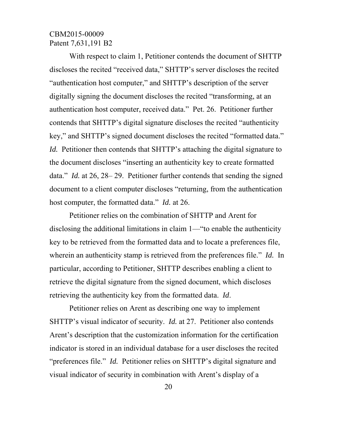With respect to claim 1, Petitioner contends the document of SHTTP discloses the recited "received data," SHTTP's server discloses the recited "authentication host computer," and SHTTP's description of the server digitally signing the document discloses the recited "transforming, at an authentication host computer, received data." Pet. 26. Petitioner further contends that SHTTP's digital signature discloses the recited "authenticity key," and SHTTP's signed document discloses the recited "formatted data." *Id.* Petitioner then contends that SHTTP's attaching the digital signature to the document discloses "inserting an authenticity key to create formatted data." *Id.* at 26, 28– 29. Petitioner further contends that sending the signed document to a client computer discloses "returning, from the authentication host computer, the formatted data." *Id.* at 26.

Petitioner relies on the combination of SHTTP and Arent for disclosing the additional limitations in claim 1—"to enable the authenticity key to be retrieved from the formatted data and to locate a preferences file, wherein an authenticity stamp is retrieved from the preferences file." *Id.* In particular, according to Petitioner, SHTTP describes enabling a client to retrieve the digital signature from the signed document, which discloses retrieving the authenticity key from the formatted data. *Id*.

Petitioner relies on Arent as describing one way to implement SHTTP's visual indicator of security. *Id.* at 27. Petitioner also contends Arent's description that the customization information for the certification indicator is stored in an individual database for a user discloses the recited "preferences file." *Id.* Petitioner relies on SHTTP's digital signature and visual indicator of security in combination with Arent's display of a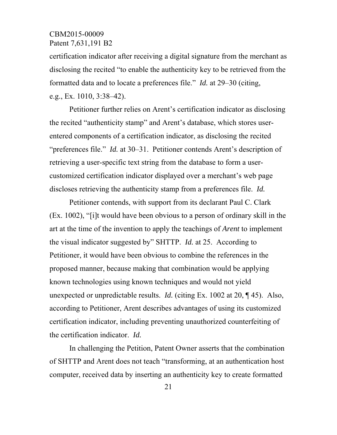certification indicator after receiving a digital signature from the merchant as disclosing the recited "to enable the authenticity key to be retrieved from the formatted data and to locate a preferences file." *Id.* at 29–30 (citing, e.g., Ex. 1010, 3:38–42).

Petitioner further relies on Arent's certification indicator as disclosing the recited "authenticity stamp" and Arent's database, which stores userentered components of a certification indicator, as disclosing the recited "preferences file." *Id.* at 30–31. Petitioner contends Arent's description of retrieving a user-specific text string from the database to form a usercustomized certification indicator displayed over a merchant's web page discloses retrieving the authenticity stamp from a preferences file. *Id.*

Petitioner contends, with support from its declarant Paul C. Clark (Ex. 1002), "[i]t would have been obvious to a person of ordinary skill in the art at the time of the invention to apply the teachings of *Arent* to implement the visual indicator suggested by" SHTTP. *Id.* at 25. According to Petitioner, it would have been obvious to combine the references in the proposed manner, because making that combination would be applying known technologies using known techniques and would not yield unexpected or unpredictable results. *Id.* (citing Ex. 1002 at 20, ¶ 45). Also, according to Petitioner, Arent describes advantages of using its customized certification indicator, including preventing unauthorized counterfeiting of the certification indicator. *Id.*

In challenging the Petition, Patent Owner asserts that the combination of SHTTP and Arent does not teach "transforming, at an authentication host computer, received data by inserting an authenticity key to create formatted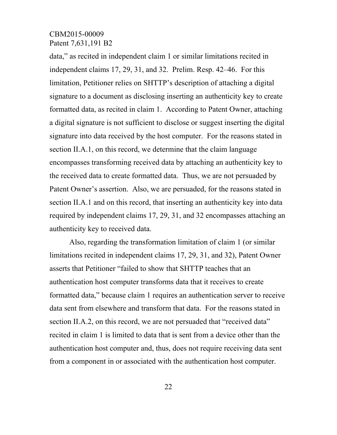data," as recited in independent claim 1 or similar limitations recited in independent claims 17, 29, 31, and 32. Prelim. Resp. 42–46. For this limitation, Petitioner relies on SHTTP's description of attaching a digital signature to a document as disclosing inserting an authenticity key to create formatted data, as recited in claim 1. According to Patent Owner, attaching a digital signature is not sufficient to disclose or suggest inserting the digital signature into data received by the host computer. For the reasons stated in section II.A.1, on this record, we determine that the claim language encompasses transforming received data by attaching an authenticity key to the received data to create formatted data. Thus, we are not persuaded by Patent Owner's assertion. Also, we are persuaded, for the reasons stated in section II.A.1 and on this record, that inserting an authenticity key into data required by independent claims 17, 29, 31, and 32 encompasses attaching an authenticity key to received data.

Also, regarding the transformation limitation of claim 1 (or similar limitations recited in independent claims 17, 29, 31, and 32), Patent Owner asserts that Petitioner "failed to show that SHTTP teaches that an authentication host computer transforms data that it receives to create formatted data," because claim 1 requires an authentication server to receive data sent from elsewhere and transform that data. For the reasons stated in section II.A.2, on this record, we are not persuaded that "received data" recited in claim 1 is limited to data that is sent from a device other than the authentication host computer and, thus, does not require receiving data sent from a component in or associated with the authentication host computer.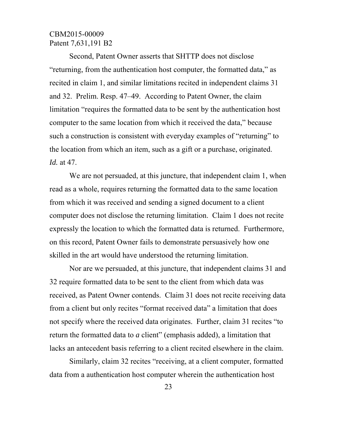Second, Patent Owner asserts that SHTTP does not disclose "returning, from the authentication host computer, the formatted data," as recited in claim 1, and similar limitations recited in independent claims 31 and 32. Prelim. Resp. 47–49. According to Patent Owner, the claim limitation "requires the formatted data to be sent by the authentication host computer to the same location from which it received the data," because such a construction is consistent with everyday examples of "returning" to the location from which an item, such as a gift or a purchase, originated. *Id.* at 47.

We are not persuaded, at this juncture, that independent claim 1, when read as a whole, requires returning the formatted data to the same location from which it was received and sending a signed document to a client computer does not disclose the returning limitation. Claim 1 does not recite expressly the location to which the formatted data is returned. Furthermore, on this record, Patent Owner fails to demonstrate persuasively how one skilled in the art would have understood the returning limitation.

Nor are we persuaded, at this juncture, that independent claims 31 and 32 require formatted data to be sent to the client from which data was received, as Patent Owner contends. Claim 31 does not recite receiving data from a client but only recites "format received data" a limitation that does not specify where the received data originates. Further, claim 31 recites "to return the formatted data to *a* client" (emphasis added), a limitation that lacks an antecedent basis referring to a client recited elsewhere in the claim.

Similarly, claim 32 recites "receiving, at a client computer, formatted data from a authentication host computer wherein the authentication host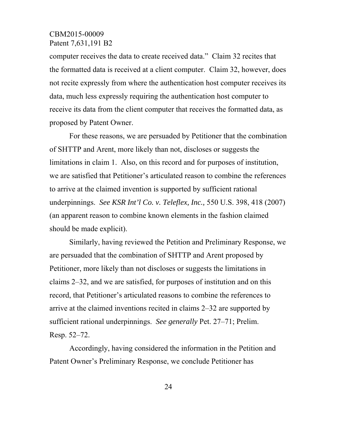computer receives the data to create received data." Claim 32 recites that the formatted data is received at a client computer. Claim 32, however, does not recite expressly from where the authentication host computer receives its data, much less expressly requiring the authentication host computer to receive its data from the client computer that receives the formatted data, as proposed by Patent Owner.

For these reasons, we are persuaded by Petitioner that the combination of SHTTP and Arent, more likely than not, discloses or suggests the limitations in claim 1. Also, on this record and for purposes of institution, we are satisfied that Petitioner's articulated reason to combine the references to arrive at the claimed invention is supported by sufficient rational underpinnings. *See KSR Int'l Co. v. Teleflex, Inc.,* 550 U.S. 398, 418 (2007) (an apparent reason to combine known elements in the fashion claimed should be made explicit).

Similarly, having reviewed the Petition and Preliminary Response, we are persuaded that the combination of SHTTP and Arent proposed by Petitioner, more likely than not discloses or suggests the limitations in claims 2–32, and we are satisfied, for purposes of institution and on this record, that Petitioner's articulated reasons to combine the references to arrive at the claimed inventions recited in claims 2–32 are supported by sufficient rational underpinnings. *See generally* Pet. 27–71; Prelim. Resp. 52–72.

Accordingly, having considered the information in the Petition and Patent Owner's Preliminary Response, we conclude Petitioner has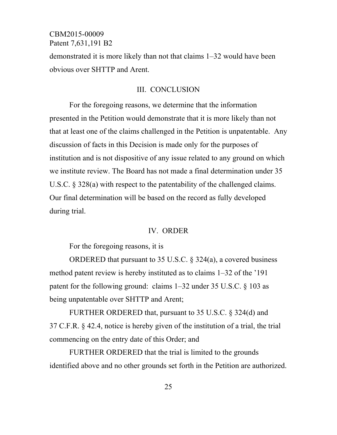demonstrated it is more likely than not that claims 1–32 would have been obvious over SHTTP and Arent.

### III. CONCLUSION

For the foregoing reasons, we determine that the information presented in the Petition would demonstrate that it is more likely than not that at least one of the claims challenged in the Petition is unpatentable. Any discussion of facts in this Decision is made only for the purposes of institution and is not dispositive of any issue related to any ground on which we institute review. The Board has not made a final determination under 35 U.S.C. § 328(a) with respect to the patentability of the challenged claims. Our final determination will be based on the record as fully developed during trial.

#### IV. ORDER

For the foregoing reasons, it is

ORDERED that pursuant to 35 U.S.C. § 324(a), a covered business method patent review is hereby instituted as to claims 1–32 of the '191 patent for the following ground: claims 1–32 under 35 U.S.C. § 103 as being unpatentable over SHTTP and Arent;

FURTHER ORDERED that, pursuant to 35 U.S.C. § 324(d) and 37 C.F.R. § 42.4, notice is hereby given of the institution of a trial, the trial commencing on the entry date of this Order; and

FURTHER ORDERED that the trial is limited to the grounds identified above and no other grounds set forth in the Petition are authorized.